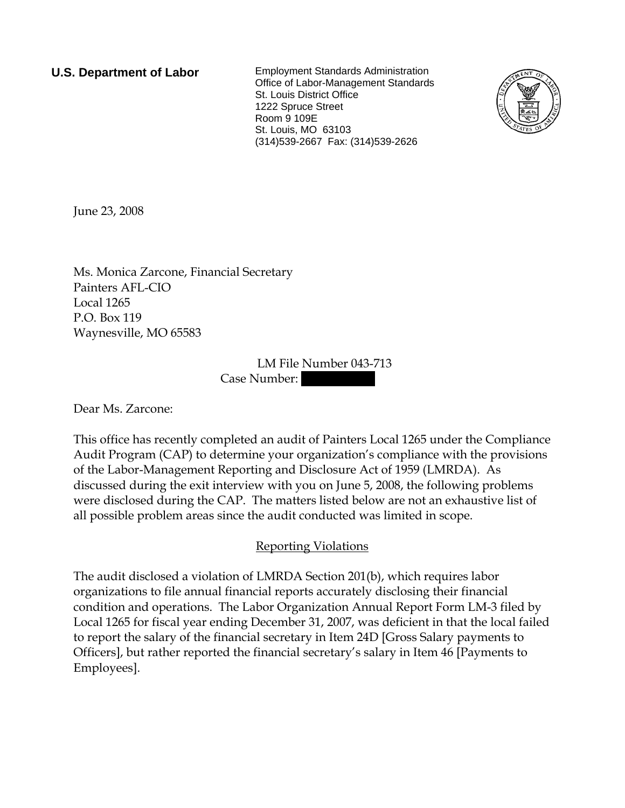**U.S. Department of Labor** Employment Standards Administration Office of Labor-Management Standards St. Louis District Office 1222 Spruce Street Room 9 109E St. Louis, MO 63103 (314)539-2667 Fax: (314)539-2626



June 23, 2008

Ms. Monica Zarcone, Financial Secretary Painters AFL-CIO Local 1265 P.O. Box 119 Waynesville, MO 65583

> LM File Number 043-713 Case Number:

Dear Ms. Zarcone:

This office has recently completed an audit of Painters Local 1265 under the Compliance Audit Program (CAP) to determine your organization's compliance with the provisions of the Labor-Management Reporting and Disclosure Act of 1959 (LMRDA). As discussed during the exit interview with you on June 5, 2008, the following problems were disclosed during the CAP. The matters listed below are not an exhaustive list of all possible problem areas since the audit conducted was limited in scope.

## Reporting Violations

The audit disclosed a violation of LMRDA Section 201(b), which requires labor organizations to file annual financial reports accurately disclosing their financial condition and operations. The Labor Organization Annual Report Form LM-3 filed by Local 1265 for fiscal year ending December 31, 2007, was deficient in that the local failed to report the salary of the financial secretary in Item 24D [Gross Salary payments to Officers], but rather reported the financial secretary's salary in Item 46 [Payments to Employees].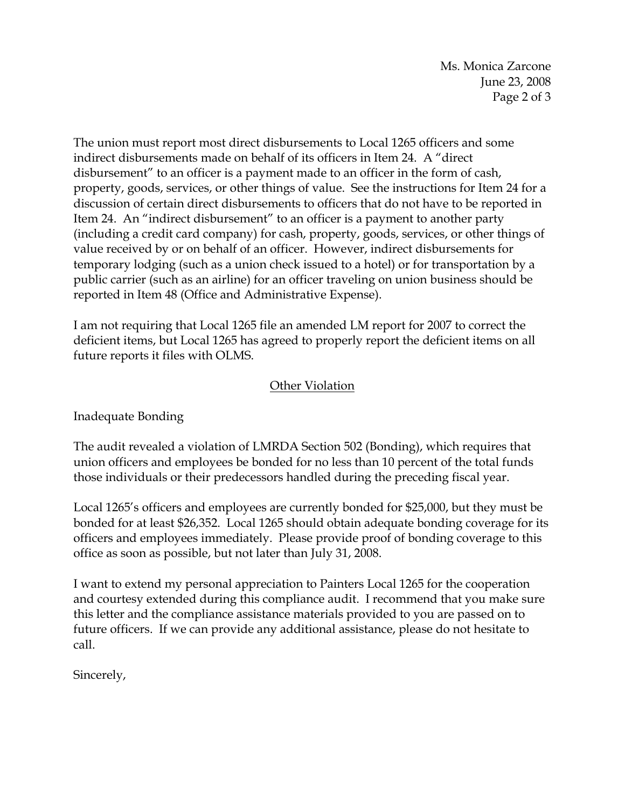Ms. Monica Zarcone June 23, 2008 Page 2 of 3

The union must report most direct disbursements to Local 1265 officers and some indirect disbursements made on behalf of its officers in Item 24. A "direct disbursement" to an officer is a payment made to an officer in the form of cash, property, goods, services, or other things of value. See the instructions for Item 24 for a discussion of certain direct disbursements to officers that do not have to be reported in Item 24. An "indirect disbursement" to an officer is a payment to another party (including a credit card company) for cash, property, goods, services, or other things of value received by or on behalf of an officer. However, indirect disbursements for temporary lodging (such as a union check issued to a hotel) or for transportation by a public carrier (such as an airline) for an officer traveling on union business should be reported in Item 48 (Office and Administrative Expense).

I am not requiring that Local 1265 file an amended LM report for 2007 to correct the deficient items, but Local 1265 has agreed to properly report the deficient items on all future reports it files with OLMS.

## **Other Violation**

Inadequate Bonding

The audit revealed a violation of LMRDA Section 502 (Bonding), which requires that union officers and employees be bonded for no less than 10 percent of the total funds those individuals or their predecessors handled during the preceding fiscal year.

Local 1265's officers and employees are currently bonded for \$25,000, but they must be bonded for at least \$26,352. Local 1265 should obtain adequate bonding coverage for its officers and employees immediately. Please provide proof of bonding coverage to this office as soon as possible, but not later than July 31, 2008.

I want to extend my personal appreciation to Painters Local 1265 for the cooperation and courtesy extended during this compliance audit. I recommend that you make sure this letter and the compliance assistance materials provided to you are passed on to future officers. If we can provide any additional assistance, please do not hesitate to call.

Sincerely,